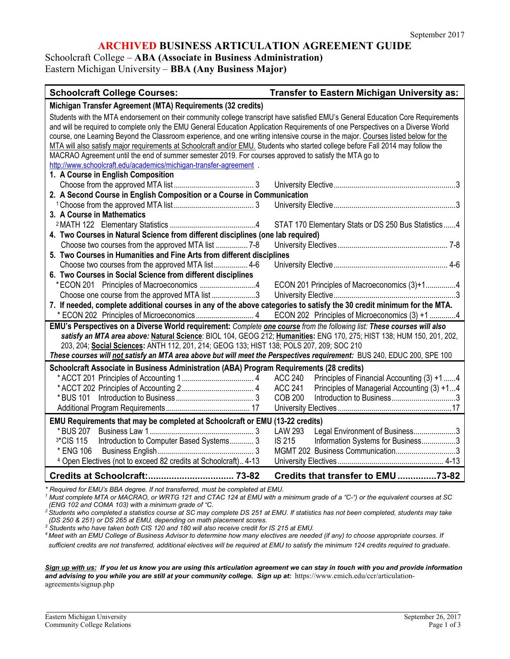#### **ARCHIVED BUSINESS ARTICULATION AGREEMENT GUIDE**

Schoolcraft College – **ABA (Associate in Business Administration)**

Eastern Michigan University – **BBA (Any Business Major)**

| <b>Schoolcraft College Courses:</b>                                                                                               | Transfer to Eastern Michigan University as:                   |  |
|-----------------------------------------------------------------------------------------------------------------------------------|---------------------------------------------------------------|--|
| Michigan Transfer Agreement (MTA) Requirements (32 credits)                                                                       |                                                               |  |
| Students with the MTA endorsement on their community college transcript have satisfied EMU's General Education Core Requirements  |                                                               |  |
| and will be required to complete only the EMU General Education Application Requirements of one Perspectives on a Diverse World   |                                                               |  |
| course, one Learning Beyond the Classroom experience, and one writing intensive course in the major. Courses listed below for the |                                                               |  |
| MTA will also satisfy major requirements at Schoolcraft and/or EMU. Students who started college before Fall 2014 may follow the  |                                                               |  |
| MACRAO Agreement until the end of summer semester 2019. For courses approved to satisfy the MTA go to                             |                                                               |  |
| http://www.schoolcraft.edu/academics/michigan-transfer-agreement .                                                                |                                                               |  |
| 1. A Course in English Composition                                                                                                |                                                               |  |
|                                                                                                                                   |                                                               |  |
| 2. A Second Course in English Composition or a Course in Communication                                                            |                                                               |  |
|                                                                                                                                   |                                                               |  |
| 3. A Course in Mathematics                                                                                                        |                                                               |  |
|                                                                                                                                   | STAT 170 Elementary Stats or DS 250 Bus Statistics  4         |  |
| 4. Two Courses in Natural Science from different disciplines (one lab required)                                                   |                                                               |  |
| Choose two courses from the approved MTA list  7-8                                                                                |                                                               |  |
| 5. Two Courses in Humanities and Fine Arts from different disciplines                                                             |                                                               |  |
| Choose two courses from the approved MTA list 4-6                                                                                 |                                                               |  |
| 6. Two Courses in Social Science from different disciplines                                                                       |                                                               |  |
| *ECON 201 Principles of Macroeconomics 4                                                                                          | ECON 201 Principles of Macroeconomics (3)+14                  |  |
| Choose one course from the approved MTA list 3                                                                                    |                                                               |  |
| 7. If needed, complete additional courses in any of the above categories to satisfy the 30 credit minimum for the MTA.            |                                                               |  |
|                                                                                                                                   | ECON 202 Principles of Microeconomics (3) +1 4                |  |
| EMU's Perspectives on a Diverse World requirement: Complete one course from the following list: These courses will also           |                                                               |  |
| satisfy an MTA area above: Natural Science: BIOL 104, GEOG 212; Humanities: ENG 170, 275; HIST 138; HUM 150, 201, 202,            |                                                               |  |
| 203, 204; Social Sciences: ANTH 112, 201, 214; GEOG 133; HIST 138; POLS 207, 209; SOC 210                                         |                                                               |  |
| These courses will not satisfy an MTA area above but will meet the Perspectives requirement: BUS 240, EDUC 200, SPE 100           |                                                               |  |
| Schoolcraft Associate in Business Administration (ABA) Program Requirements (28 credits)                                          |                                                               |  |
|                                                                                                                                   | Principles of Financial Accounting (3) +1 4<br><b>ACC 240</b> |  |
|                                                                                                                                   | <b>ACC 241</b><br>Principles of Managerial Accounting (3) +14 |  |
|                                                                                                                                   | <b>COB 200</b>                                                |  |
|                                                                                                                                   |                                                               |  |
| EMU Requirements that may be completed at Schoolcraft or EMU (13-22 credits)                                                      |                                                               |  |
|                                                                                                                                   | LAW 293<br>Legal Environment of Business3                     |  |
| Introduction to Computer Based Systems 3<br>3*CIS 115                                                                             | IS 215<br>Information Systems for Business3                   |  |
| * ENG 106                                                                                                                         | MGMT 202 Business Communication3                              |  |
| <sup>4</sup> Open Electives (not to exceed 82 credits at Schoolcraft) 4-13                                                        |                                                               |  |
|                                                                                                                                   | Credits that transfer to EMU73-82                             |  |

*\* Required for EMU's BBA degree. If not transferred, must be completed at EMU.*

*<sup>1</sup> Must complete MTA or MACRAO, or WRTG 121 and CTAC 124 at EMU with a minimum grade of a "C-") or the equivalent courses at SC (ENG 102 and COMA 103) with a minimum grade of "C.*

*2 Students who completed a statistics course at SC may complete DS 251 at EMU. If statistics has not been completed, students may take (DS 250 & 251) or DS 265 at EMU, depending on math placement scores.*

4 Meet with an EMU College of Business Advisor to determine how many electives are needed (if any) to choose appropriate courses. If *sufficient credits are not transferred, additional electives will be required at EMU to satisfy the minimum 124 credits required to graduate*.

*Sign up with us: If you let us know you are using this articulation agreement we can stay in touch with you and provide information*  and advising to you while you are still at your community college. Sign up at: https://www.emich.edu/ccr/articulationagreements/signup.php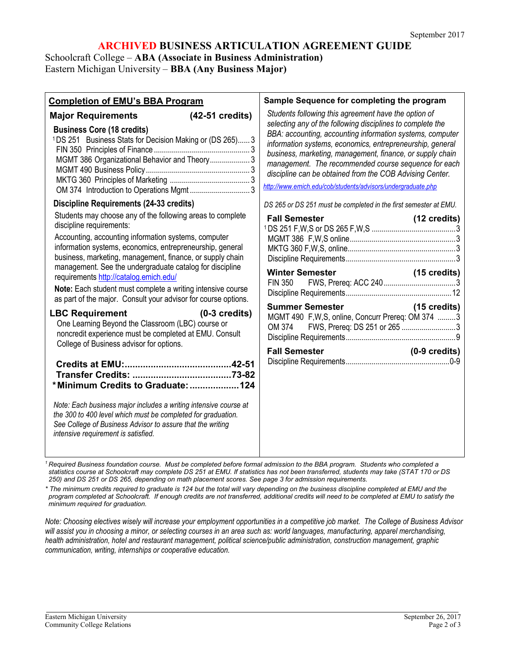### **ARCHIVED BUSINESS ARTICULATION AGREEMENT GUIDE**

Schoolcraft College – **ABA (Associate in Business Administration)** Eastern Michigan University – **BBA (Any Business Major)**

| Sample Sequence for completing the program<br><b>Completion of EMU's BBA Program</b><br>Students following this agreement have the option of<br>(42-51 credits)<br><b>Major Requirements</b><br>selecting any of the following disciplines to complete the<br><b>Business Core (18 credits)</b><br>BBA: accounting, accounting information systems, computer<br><sup>1</sup> DS 251 Business Stats for Decision Making or (DS 265) 3<br>information systems, economics, entrepreneurship, general<br>business, marketing, management, finance, or supply chain<br>MGMT 386 Organizational Behavior and Theory 3<br>management. The recommended course sequence for each<br>discipline can be obtained from the COB Advising Center.<br>http://www.emich.edu/cob/students/advisors/undergraduate.php<br>OM 374 Introduction to Operations Mgmt  3<br><b>Discipline Requirements (24-33 credits)</b><br>DS 265 or DS 251 must be completed in the first semester at EMU.<br>Students may choose any of the following areas to complete<br><b>Fall Semester</b><br>(12 credits)<br>discipline requirements:<br>Accounting, accounting information systems, computer<br>information systems, economics, entrepreneurship, general<br>business, marketing, management, finance, or supply chain<br>management. See the undergraduate catalog for discipline<br><b>Winter Semester</b><br>$(15 \text{ credits})$<br>requirements http://catalog.emich.edu/<br><b>FIN 350</b><br>Note: Each student must complete a writing intensive course<br>as part of the major. Consult your advisor for course options.<br>Summer Semester (15 credits)<br><b>LBC Requirement</b><br>$(0-3$ credits)<br>MGMT 490 F, W, S, online, Concurr Prereq: OM 374 3<br>One Learning Beyond the Classroom (LBC) course or<br>FWS, Prereq: DS 251 or 265 3<br>OM 374<br>noncredit experience must be completed at EMU. Consult<br>College of Business advisor for options.<br><b>Fall Semester</b><br>$(0-9 \text{ credits})$<br>*Minimum Credits to Graduate:  124<br>Note: Each business major includes a writing intensive course at<br>the 300 to 400 level which must be completed for graduation.<br>See College of Business Advisor to assure that the writing<br>intensive requirement is satisfied. |  |
|-----------------------------------------------------------------------------------------------------------------------------------------------------------------------------------------------------------------------------------------------------------------------------------------------------------------------------------------------------------------------------------------------------------------------------------------------------------------------------------------------------------------------------------------------------------------------------------------------------------------------------------------------------------------------------------------------------------------------------------------------------------------------------------------------------------------------------------------------------------------------------------------------------------------------------------------------------------------------------------------------------------------------------------------------------------------------------------------------------------------------------------------------------------------------------------------------------------------------------------------------------------------------------------------------------------------------------------------------------------------------------------------------------------------------------------------------------------------------------------------------------------------------------------------------------------------------------------------------------------------------------------------------------------------------------------------------------------------------------------------------------------------------------------------------------------------------------------------------------------------------------------------------------------------------------------------------------------------------------------------------------------------------------------------------------------------------------------------------------------------------------------------------------------------------------------------------------------------------------------------------------------------------------------|--|
|                                                                                                                                                                                                                                                                                                                                                                                                                                                                                                                                                                                                                                                                                                                                                                                                                                                                                                                                                                                                                                                                                                                                                                                                                                                                                                                                                                                                                                                                                                                                                                                                                                                                                                                                                                                                                                                                                                                                                                                                                                                                                                                                                                                                                                                                                   |  |
|                                                                                                                                                                                                                                                                                                                                                                                                                                                                                                                                                                                                                                                                                                                                                                                                                                                                                                                                                                                                                                                                                                                                                                                                                                                                                                                                                                                                                                                                                                                                                                                                                                                                                                                                                                                                                                                                                                                                                                                                                                                                                                                                                                                                                                                                                   |  |
|                                                                                                                                                                                                                                                                                                                                                                                                                                                                                                                                                                                                                                                                                                                                                                                                                                                                                                                                                                                                                                                                                                                                                                                                                                                                                                                                                                                                                                                                                                                                                                                                                                                                                                                                                                                                                                                                                                                                                                                                                                                                                                                                                                                                                                                                                   |  |
|                                                                                                                                                                                                                                                                                                                                                                                                                                                                                                                                                                                                                                                                                                                                                                                                                                                                                                                                                                                                                                                                                                                                                                                                                                                                                                                                                                                                                                                                                                                                                                                                                                                                                                                                                                                                                                                                                                                                                                                                                                                                                                                                                                                                                                                                                   |  |

*<sup>1</sup> Required Business foundation course. Must be completed before formal admission to the BBA program. Students who completed a statistics course at Schoolcraft may complete DS 251 at EMU. If statistics has not been transferred, students may take (STAT 170 or DS 250) and DS 251 or DS 265, depending on math placement scores. See page 3 for admission requirements.*

*\* The minimum credits required to graduate is 124 but the total will vary depending on the business discipline completed at EMU and the program completed at Schoolcraft. If enough credits are not transferred, additional credits will need to be completed at EMU to satisfy the minimum required for graduation.*

*Note: Choosing electives wisely will increase your employment opportunities in a competitive job market. The College of Business Advisor*  will assist you in choosing a minor, or selecting courses in an area such as: world languages, manufacturing, apparel merchandising, *health administration, hotel and restaurant management, political science/public administration, construction management, graphic communication, writing, internships or cooperative education.*